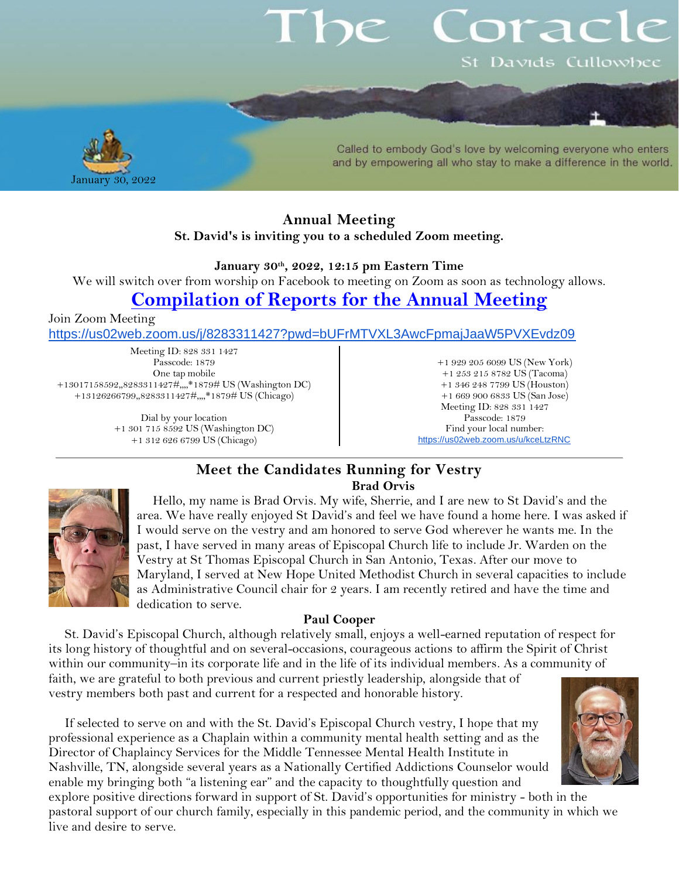# orac St Davids Cullowhee



Called to embody God's love by welcoming everyone who enters and by empowering all who stay to make a difference in the world.

### **Annual Meeting St. David's is inviting you to a scheduled Zoom meeting.**

**January 30th , 2022, 12:15 pm Eastern Time** 

We will switch over from worship on Facebook to meeting on Zoom as soon as technology allows.

## **[Compilation of Reports for the Annual Meeting](https://www.stdavidscullowhee.org/uploads/1/2/0/4/120457644/annual_meeting_reports_2021.pdf)**

Join Zoom Meeting

<https://us02web.zoom.us/j/8283311427?pwd=bUFrMTVXL3AwcFpmajJaaW5PVXEvdz09>

Meeting ID: 828 331 1427 Passcode: 1879 One tap mobile +13017158592,,8283311427#,,,,\*1879# US (Washington DC) +13126266799,,8283311427#,,,,\*1879# US (Chicago)

> Dial by your location +1 301 715 8592 US (Washington DC) +1 312 626 6799 US (Chicago)

+1 929 205 6099 US (New York) +1 253 215 8782 US (Tacoma) +1 346 248 7799 US (Houston) +1 669 900 6833 US (San Jose) Meeting ID: 828 331 1427 Passcode: 1879 Find your local number: <https://us02web.zoom.us/u/kceLtzRNC>

### **Meet the Candidates Running for Vestry Brad Orvis**



Hello, my name is Brad Orvis. My wife, Sherrie, and I are new to St David's and the area. We have really enjoyed St David's and feel we have found a home here. I was asked if I would serve on the vestry and am honored to serve God wherever he wants me. In the past, I have served in many areas of Episcopal Church life to include Jr. Warden on the Vestry at St Thomas Episcopal Church in San Antonio, Texas. After our move to Maryland, I served at New Hope United Methodist Church in several capacities to include as Administrative Council chair for 2 years. I am recently retired and have the time and dedication to serve.

#### **Paul Cooper**

St. David's Episcopal Church, although relatively small, enjoys a well-earned reputation of respect for its long history of thoughtful and on several-occasions, courageous actions to affirm the Spirit of Christ within our community–in its corporate life and in the life of its individual members. As a community of faith, we are grateful to both previous and current priestly leadership, alongside that of vestry members both past and current for a respected and honorable history.

If selected to serve on and with the St. David's Episcopal Church vestry, I hope that my professional experience as a Chaplain within a community mental health setting and as the Director of Chaplaincy Services for the Middle Tennessee Mental Health Institute in Nashville, TN, alongside several years as a Nationally Certified Addictions Counselor would enable my bringing both "a listening ear" and the capacity to thoughtfully question and



explore positive directions forward in support of St. David's opportunities for ministry - both in the pastoral support of our church family, especially in this pandemic period, and the community in which we live and desire to serve.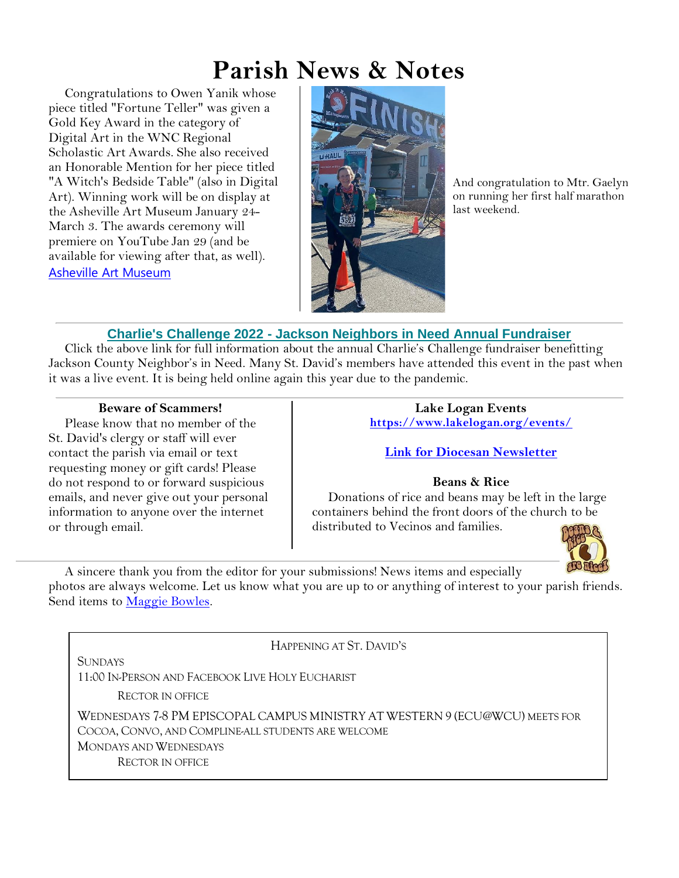# **Parish News & Notes**

Congratulations to Owen Yanik whose piece titled "Fortune Teller" was given a Gold Key Award in the category of Digital Art in the WNC Regional Scholastic Art Awards. She also received an Honorable Mention for her piece titled "A Witch's Bedside Table" (also in Digital Art). Winning work will be on display at the Asheville Art Museum January 24- March 3. The awards ceremony will premiere on YouTube Jan 29 (and be available for viewing after that, as well). [Asheville Art Museum](https://www.ashevilleart.org/event/2022-wnc-regional-scholastic-art-awards-ceremony-virtual/?fbclid=IwAR3AjXYRH7uhVo8ibeza4XAY4SaF8ajFfDawj1GpNkeivequ0SACMoiW8v4)



And congratulation to Mtr. Gaelyn on running her first half marathon last weekend.

## **Charlie's Challenge 2022 - [Jackson Neighbors in Need Annual Fundraiser](https://jacksonnieghborsinneed.us4.list-manage.com/track/click?u=e4ee452bf52c6dae6fe5f39d9&id=b4c1c7fc90&e=ba212b7a96)**

Click the above link for full information about the annual Charlie's Challenge fundraiser benefitting Jackson County Neighbor's in Need. Many St. David's members have attended this event in the past when it was a live event. It is being held online again this year due to the pandemic.

#### **Beware of Scammers!**

Please know that no member of the St. David's clergy or staff will ever contact the parish via email or text requesting money or gift cards! Please do not respond to or forward suspicious emails, and never give out your personal information to anyone over the internet or through email.

**Lake Logan Events <https://www.lakelogan.org/events/>**

**[Link for Diocesan Newsletter](https://files.ctctusercontent.com/bcd32219001/75075db9-7c0d-488e-ad4e-ddfa7bb70a84.pdf?rdr=true)**

**Beans & Rice**

Donations of rice and beans may be left in the large containers behind the front doors of the church to be distributed to Vecinos and families.



A sincere thank you from the editor for your submissions! News items and especially photos are always welcome. Let us know what you are up to or anything of interest to your parish friends. Send items to [Maggie Bowles.](mailto:magbowles@gmail.com)

HAPPENING AT ST. DAVID'S SUNDAYS 11:00 IN-PERSON AND FACEBOOK LIVE HOLY EUCHARIST RECTOR IN OFFICE WEDNESDAYS 7-8 PM EPISCOPAL CAMPUS MINISTRY AT WESTERN 9 (ECU@WCU) MEETS FOR COCOA, CONVO, AND COMPLINE-ALL STUDENTS ARE WELCOME MONDAYS AND WEDNESDAYS RECTOR IN OFFICE